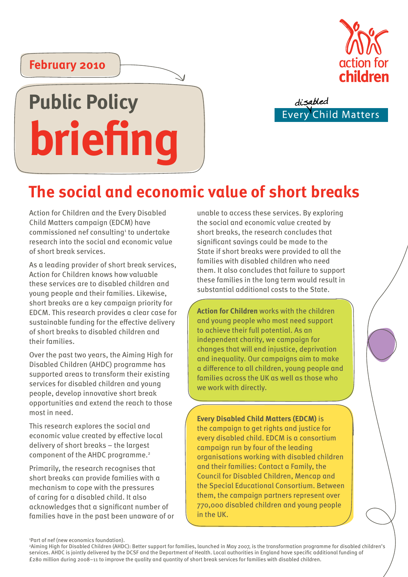

disabled **Child Matters** Every

### **February 2010**

# **Public Policy briefing**

## **The social and economic value of short breaks**

Action for Children and the Every Disabled Child Matters campaign (EDCM) have commissioned nef consulting<sup>1</sup> to undertake research into the social and economic value of short break services.

As a leading provider of short break services, Action for Children knows how valuable these services are to disabled children and young people and their families. Likewise, short breaks are a key campaign priority for EDCM. This research provides a clear case for sustainable funding for the effective delivery of short breaks to disabled children and their families.

Over the past two years, the Aiming High for Disabled Children (AHDC) programme has supported areas to transform their existing services for disabled children and young people, develop innovative short break opportunities and extend the reach to those most in need.

This research explores the social and economic value created by effective local delivery of short breaks – the largest component of the AHDC programme.2

Primarily, the research recognises that short breaks can provide families with a mechanism to cope with the pressures of caring for a disabled child. It also acknowledges that a significant number of families have in the past been unaware of or unable to access these services. By exploring the social and economic value created by short breaks, the research concludes that significant savings could be made to the State if short breaks were provided to all the families with disabled children who need them. It also concludes that failure to support these families in the long term would result in substantial additional costs to the State.

**Action for Children** works with the children and young people who most need support to achieve their full potential. As an independent charity, we campaign for changes that will end injustice, deprivation and inequality. Our campaigns aim to make a difference to all children, young people and families across the UK as well as those who we work with directly.

**Every Disabled Child Matters (EDCM)** is the campaign to get rights and justice for every disabled child. EDCM is a consortium campaign run by four of the leading organisations working with disabled children and their families: Contact a Family, the Council for Disabled Children, Mencap and the Special Educational Consortium. Between them, the campaign partners represent over 770,000 disabled children and young people in the UK.

1 Part of nef (new economics foundation).

2 Aiming High for Disabled Children (AHDC): Better support for families, launched in May 2007, is the transformation programme for disabled children's services. AHDC is jointly delivered by the DCSF and the Department of Health. Local authorities in England have specific additional funding of £280 million during 2008–11 to improve the quality and quantity of short break services for families with disabled children.